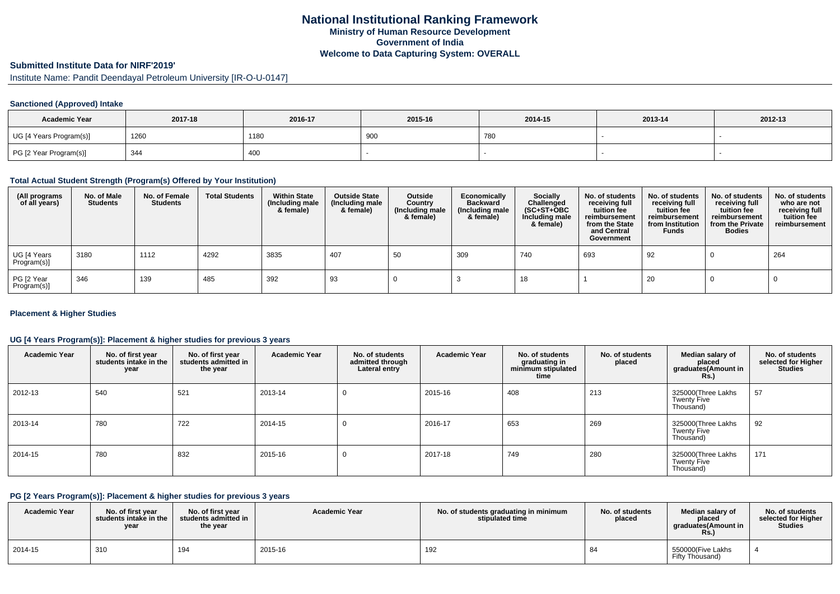# **Submitted Institute Data for NIRF'2019'**

Institute Name: Pandit Deendayal Petroleum University [IR-O-U-0147]

### **Sanctioned (Approved) Intake**

| <b>Academic Year</b>    | 2017-18 | 2016-17 | 2015-16        | 2014-15 | 2013-14 | 2012-13 |
|-------------------------|---------|---------|----------------|---------|---------|---------|
| UG [4 Years Program(s)] | 1260    | 1180    | $\Omega$<br>יש | 780     |         |         |
| PG [2 Year Program(s)]  | 344     | 400     |                |         |         |         |

#### **Total Actual Student Strength (Program(s) Offered by Your Institution)**

| (All programs<br>of all years) | No. of Male<br><b>Students</b> | No. of Female<br><b>Students</b> | <b>Total Students</b> | <b>Within State</b><br>(Including male<br>& female) | <b>Outside State</b><br>(Including male<br>& female) | Outside<br>Country<br>(Including male<br>& female) | Economically<br><b>Backward</b><br>(Including male<br>& female) | <b>Socially</b><br>Challenged<br>$(SC+ST+OBC)$<br>Including male<br>& female) | No. of students<br>receiving full<br>tuition fee<br>reimbursement<br>from the State<br>and Central<br>Government | No. of students<br>receiving full<br>tuition fee<br>reimbursement<br>from Institution<br><b>Funds</b> | No. of students<br>receiving full<br>tuition fee<br>reimbursement<br>from the Private<br><b>Bodies</b> | No. of students<br>who are not<br>receiving full<br>tuition fee<br>reimbursement |
|--------------------------------|--------------------------------|----------------------------------|-----------------------|-----------------------------------------------------|------------------------------------------------------|----------------------------------------------------|-----------------------------------------------------------------|-------------------------------------------------------------------------------|------------------------------------------------------------------------------------------------------------------|-------------------------------------------------------------------------------------------------------|--------------------------------------------------------------------------------------------------------|----------------------------------------------------------------------------------|
| UG [4 Years<br>Program(s)]     | 3180                           | 1112                             | 4292                  | 3835                                                | 407                                                  | 50                                                 | 309                                                             | 740                                                                           | 693                                                                                                              | 92                                                                                                    |                                                                                                        | 264                                                                              |
| PG [2 Year<br>Program(s)]      | 346                            | 139                              | 485                   | 392                                                 | 93                                                   |                                                    |                                                                 | 18                                                                            |                                                                                                                  | 20                                                                                                    |                                                                                                        |                                                                                  |

### **Placement & Higher Studies**

### **UG [4 Years Program(s)]: Placement & higher studies for previous 3 years**

| <b>Academic Year</b> | No. of first year<br>students intake in the<br>year | No. of first year<br>students admitted in<br>the year | <b>Academic Year</b> | No. of students<br>admitted through<br>Lateral entry | <b>Academic Year</b> | No. of students<br>graduating in<br>minimum stipulated<br>time | No. of students<br>placed | Median salary of<br>placed<br>graduates(Amount in<br><b>Rs.)</b> | No. of students<br>selected for Higher<br><b>Studies</b> |
|----------------------|-----------------------------------------------------|-------------------------------------------------------|----------------------|------------------------------------------------------|----------------------|----------------------------------------------------------------|---------------------------|------------------------------------------------------------------|----------------------------------------------------------|
| 2012-13              | 540                                                 | 521                                                   | 2013-14              | 0                                                    | 2015-16              | 408                                                            | 213                       | 325000(Three Lakhs<br><b>Twenty Five</b><br>Thousand)            | 57                                                       |
| 2013-14              | 780                                                 | 722                                                   | 2014-15              | 0                                                    | 2016-17              | 653                                                            | 269                       | 325000(Three Lakhs<br><b>Twenty Five</b><br>Thousand)            | 92                                                       |
| 2014-15              | 780                                                 | 832                                                   | 2015-16              | 0                                                    | 2017-18              | 749                                                            | 280                       | 325000(Three Lakhs<br><b>Twenty Five</b><br>Thousand)            | 171                                                      |

### **PG [2 Years Program(s)]: Placement & higher studies for previous 3 years**

| <b>Academic Year</b> | No. of first vear<br>students intake in the<br>year | No. of first vear<br>students admitted in<br>the year | <b>Academic Year</b> | No. of students graduating in minimum<br>stipulated time | No. of students<br>placed | Median salary of<br>placed<br>araduates(Amount in<br><b>KS.)</b> | No. of students<br>selected for Higher<br><b>Studies</b> |
|----------------------|-----------------------------------------------------|-------------------------------------------------------|----------------------|----------------------------------------------------------|---------------------------|------------------------------------------------------------------|----------------------------------------------------------|
| 2014-15              | 310                                                 | 194                                                   | 2015-16              | 192                                                      |                           | 550000(Five Lakhs<br>Fifty Thousand)                             |                                                          |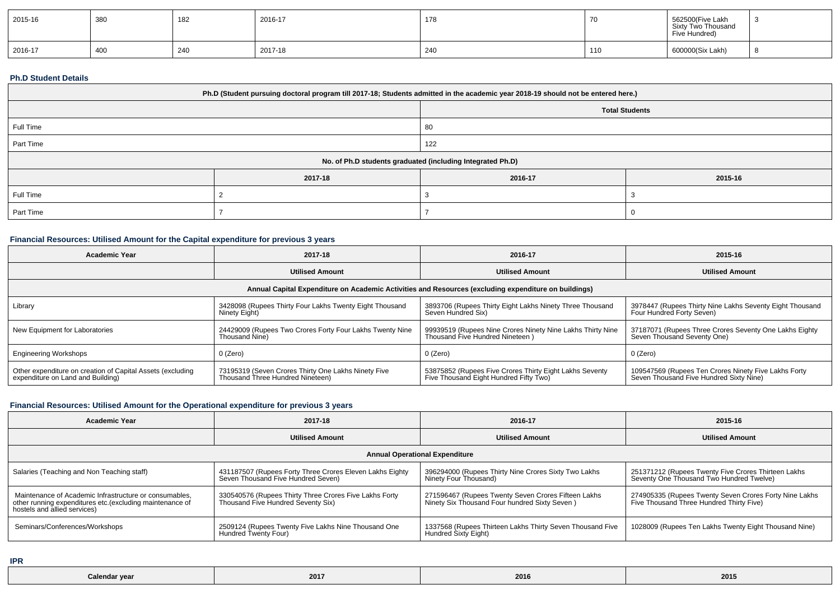| 2015-16 | 380 | 182 | 2016-17 | 178 | $\overline{1}$ | 562500(Five Lakh<br>Sixty Two Thousand<br>Five Hundred) |  |
|---------|-----|-----|---------|-----|----------------|---------------------------------------------------------|--|
| 2016-17 | 400 | 240 | 2017-18 | 240 | 110            | 600000(Six Lakh)                                        |  |

#### **Ph.D Student Details**

| Ph.D (Student pursuing doctoral program till 2017-18; Students admitted in the academic year 2018-19 should not be entered here.) |                                                            |         |         |  |  |  |
|-----------------------------------------------------------------------------------------------------------------------------------|------------------------------------------------------------|---------|---------|--|--|--|
|                                                                                                                                   | <b>Total Students</b>                                      |         |         |  |  |  |
| Full Time                                                                                                                         |                                                            | 80      |         |  |  |  |
| Part Time                                                                                                                         |                                                            | 122     |         |  |  |  |
|                                                                                                                                   | No. of Ph.D students graduated (including Integrated Ph.D) |         |         |  |  |  |
|                                                                                                                                   | 2017-18                                                    | 2016-17 | 2015-16 |  |  |  |
| Full Time                                                                                                                         |                                                            |         |         |  |  |  |
| Part Time                                                                                                                         |                                                            |         |         |  |  |  |

# **Financial Resources: Utilised Amount for the Capital expenditure for previous 3 years**

| <b>Academic Year</b>                                                                                 | 2017-18                                                                                 | 2016-17                                                                                           | 2015-16                                                                                         |  |  |  |  |  |
|------------------------------------------------------------------------------------------------------|-----------------------------------------------------------------------------------------|---------------------------------------------------------------------------------------------------|-------------------------------------------------------------------------------------------------|--|--|--|--|--|
|                                                                                                      | <b>Utilised Amount</b>                                                                  | <b>Utilised Amount</b>                                                                            | <b>Utilised Amount</b>                                                                          |  |  |  |  |  |
| Annual Capital Expenditure on Academic Activities and Resources (excluding expenditure on buildings) |                                                                                         |                                                                                                   |                                                                                                 |  |  |  |  |  |
| Library                                                                                              | 3428098 (Rupees Thirty Four Lakhs Twenty Eight Thousand<br>Ninety Eight)                | 3893706 (Rupees Thirty Eight Lakhs Ninety Three Thousand<br>Seven Hundred Six)                    | 3978447 (Rupees Thirty Nine Lakhs Seventy Eight Thousand<br>Four Hundred Forty Seven)           |  |  |  |  |  |
| New Equipment for Laboratories                                                                       | 24429009 (Rupees Two Crores Forty Four Lakhs Twenty Nine<br>Thousand Nine)              | 99939519 (Rupees Nine Crores Ninety Nine Lakhs Thirty Nine<br>Thousand Five Hundred Nineteen)     | 37187071 (Rupees Three Crores Seventy One Lakhs Eighty<br>Seven Thousand Seventy One)           |  |  |  |  |  |
| <b>Engineering Workshops</b>                                                                         | $0$ (Zero)                                                                              | $0$ (Zero)                                                                                        | 0 (Zero)                                                                                        |  |  |  |  |  |
| Other expenditure on creation of Capital Assets (excluding<br>expenditure on Land and Building)      | 73195319 (Seven Crores Thirty One Lakhs Ninety Five<br>Thousand Three Hundred Nineteen) | 53875852 (Rupees Five Crores Thirty Eight Lakhs Seventy<br>Five Thousand Eight Hundred Fifty Two) | 109547569 (Rupees Ten Crores Ninety Five Lakhs Forty<br>Seven Thousand Five Hundred Sixty Nine) |  |  |  |  |  |

## **Financial Resources: Utilised Amount for the Operational expenditure for previous 3 years**

| <b>Academic Year</b>                                                                                                                               | 2017-18                                                                                        | 2016-17                                                                                              | 2015-16                                                                                            |  |  |  |  |  |
|----------------------------------------------------------------------------------------------------------------------------------------------------|------------------------------------------------------------------------------------------------|------------------------------------------------------------------------------------------------------|----------------------------------------------------------------------------------------------------|--|--|--|--|--|
|                                                                                                                                                    | <b>Utilised Amount</b>                                                                         | <b>Utilised Amount</b>                                                                               | <b>Utilised Amount</b>                                                                             |  |  |  |  |  |
| <b>Annual Operational Expenditure</b>                                                                                                              |                                                                                                |                                                                                                      |                                                                                                    |  |  |  |  |  |
| Salaries (Teaching and Non Teaching staff)                                                                                                         | 431187507 (Rupees Forty Three Crores Eleven Lakhs Eighty<br>Seven Thousand Five Hundred Seven) | 396294000 (Rupees Thirty Nine Crores Sixty Two Lakhs<br>Ninety Four Thousand)                        | 251371212 (Rupees Twenty Five Crores Thirteen Lakhs<br>Seventy One Thousand Two Hundred Twelve)    |  |  |  |  |  |
| Maintenance of Academic Infrastructure or consumables.<br>other running expenditures etc.(excluding maintenance of<br>hostels and allied services) | 330540576 (Rupees Thirty Three Crores Five Lakhs Forty<br>Thousand Five Hundred Seventy Six)   | 271596467 (Rupees Twenty Seven Crores Fifteen Lakhs<br>Ninety Six Thousand Four hundred Sixty Seven) | 274905335 (Rupees Twenty Seven Crores Forty Nine Lakhs<br>Five Thousand Three Hundred Thirty Five) |  |  |  |  |  |
| Seminars/Conferences/Workshops                                                                                                                     | 2509124 (Rupees Twenty Five Lakhs Nine Thousand One<br>Hundred Twenty Four)                    | 1337568 (Rupees Thirteen Lakhs Thirty Seven Thousand Five<br>Hundred Sixty Eight)                    | 1028009 (Rupees Ten Lakhs Twenty Eight Thousand Nine)                                              |  |  |  |  |  |

**IPR**

| Calendar year | 2017 | 2016 | 2015 |
|---------------|------|------|------|
|---------------|------|------|------|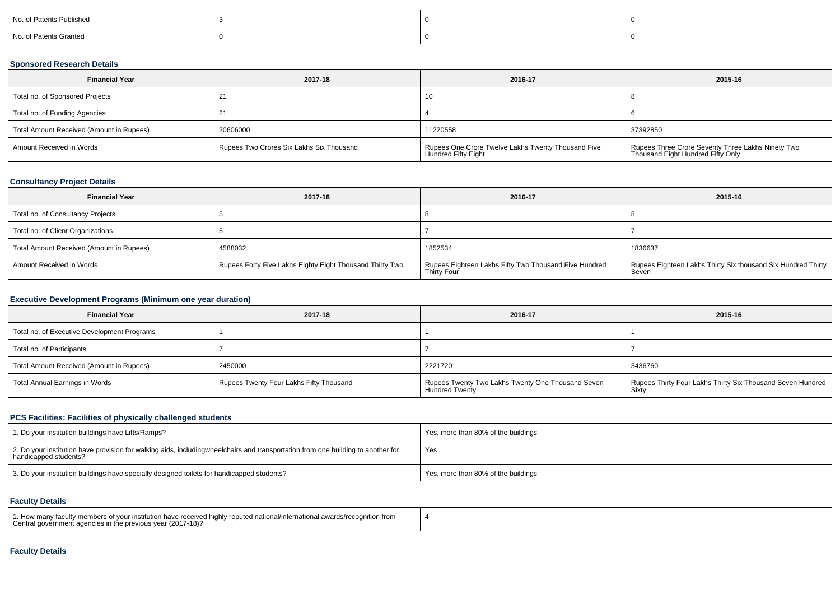| No. of Patents Published |  |  |
|--------------------------|--|--|
| No. of Patents Granted   |  |  |

### **Sponsored Research Details**

| <b>Financial Year</b>                    | 2017-18                                  | 2016-17                                                                   | 2015-16                                                                                |
|------------------------------------------|------------------------------------------|---------------------------------------------------------------------------|----------------------------------------------------------------------------------------|
| Total no. of Sponsored Projects          |                                          | 16                                                                        |                                                                                        |
| Total no. of Funding Agencies            |                                          |                                                                           |                                                                                        |
| Total Amount Received (Amount in Rupees) | 20606000                                 | 11220558                                                                  | 37392850                                                                               |
| Amount Received in Words                 | Rupees Two Crores Six Lakhs Six Thousand | Rupees One Crore Twelve Lakhs Twenty Thousand Five<br>Hundred Fifty Eight | Rupees Three Crore Seventy Three Lakhs Ninety Two<br>Thousand Eight Hundred Fifty Only |

## **Consultancy Project Details**

| <b>Financial Year</b>                    | 2017-18                                                  | 2016-17                                                              | 2015-16                                                               |
|------------------------------------------|----------------------------------------------------------|----------------------------------------------------------------------|-----------------------------------------------------------------------|
| Total no. of Consultancy Projects        |                                                          |                                                                      |                                                                       |
| Total no. of Client Organizations        |                                                          |                                                                      |                                                                       |
| Total Amount Received (Amount in Rupees) | 4588032                                                  | 1852534                                                              | 1836637                                                               |
| Amount Received in Words                 | Rupees Forty Five Lakhs Eighty Eight Thousand Thirty Two | Rupees Eighteen Lakhs Fifty Two Thousand Five Hundred<br>Thirty Four | Rupees Eighteen Lakhs Thirty Six thousand Six Hundred Thirty<br>Seven |

## **Executive Development Programs (Minimum one year duration)**

| <b>Financial Year</b>                       | 2017-18                                 | 2016-17                                                                    | 2015-16                                                               |
|---------------------------------------------|-----------------------------------------|----------------------------------------------------------------------------|-----------------------------------------------------------------------|
| Total no. of Executive Development Programs |                                         |                                                                            |                                                                       |
| Total no. of Participants                   |                                         |                                                                            |                                                                       |
| Total Amount Received (Amount in Rupees)    | 2450000                                 | 2221720                                                                    | 3436760                                                               |
| Total Annual Earnings in Words              | Rupees Twenty Four Lakhs Fifty Thousand | Rupees Twenty Two Lakhs Twenty One Thousand Seven<br><b>Hundred Twenty</b> | Rupees Thirty Four Lakhs Thirty Six Thousand Seven Hundred  <br>Sixty |

## **PCS Facilities: Facilities of physically challenged students**

| 1. Do your institution buildings have Lifts/Ramps?                                                                                                        | Yes, more than 80% of the buildings |
|-----------------------------------------------------------------------------------------------------------------------------------------------------------|-------------------------------------|
| 2. Do your institution have provision for walking aids, includingwheelchairs and transportation from one building to another for<br>handicapped students? | Yes                                 |
| 3. Do your institution buildings have specially designed toilets for handicapped students?                                                                | Yes, more than 80% of the buildings |

### **Faculty Details**

| 1. How many faculty members of your institution have received highly reputed national/international awards/recognition from<br>Central government agencies in the previous year (2017-18)? |  |
|--------------------------------------------------------------------------------------------------------------------------------------------------------------------------------------------|--|
|--------------------------------------------------------------------------------------------------------------------------------------------------------------------------------------------|--|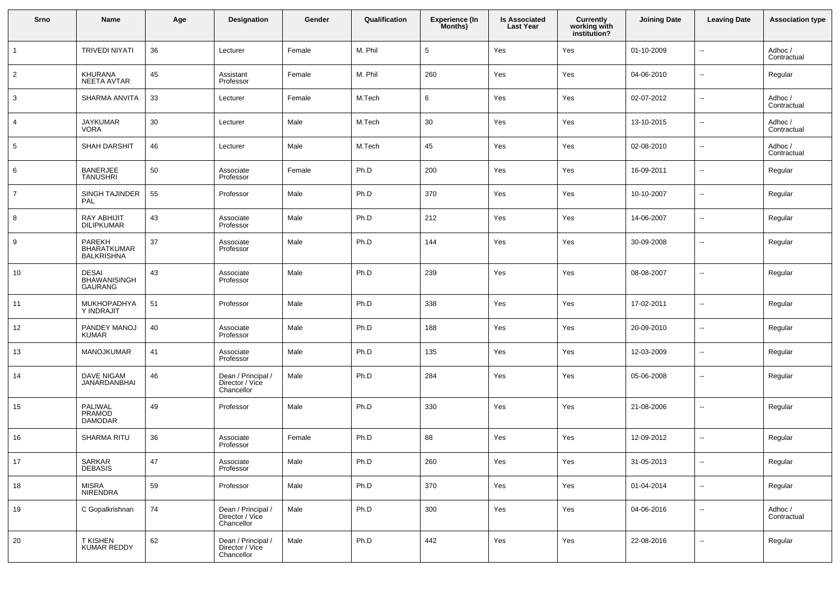| Srno           | Name                                              | Age | Designation                                         | Gender | Qualification | Experience (In<br>Months) | <b>Is Associated</b><br>Last Year | <b>Currently</b><br>working with<br>institution? | <b>Joining Date</b> | <b>Leaving Date</b>      | <b>Association type</b> |
|----------------|---------------------------------------------------|-----|-----------------------------------------------------|--------|---------------|---------------------------|-----------------------------------|--------------------------------------------------|---------------------|--------------------------|-------------------------|
|                | <b>TRIVEDI NIYATI</b>                             | 36  | Lecturer                                            | Female | M. Phil       | 5                         | Yes                               | Yes                                              | 01-10-2009          | $\sim$                   | Adhoc /<br>Contractual  |
| $\overline{2}$ | KHURANA<br><b>NEETA AVTAR</b>                     | 45  | Assistant<br>Professor                              | Female | M. Phil       | 260                       | Yes                               | Yes                                              | 04-06-2010          | $\ddotsc$                | Regular                 |
| 3              | SHARMA ANVITA                                     | 33  | Lecturer                                            | Female | M.Tech        | 6                         | Yes                               | Yes                                              | 02-07-2012          | $\overline{\phantom{a}}$ | Adhoc /<br>Contractual  |
| 4              | JAYKUMAR<br>VORA                                  | 30  | Lecturer                                            | Male   | M.Tech        | 30                        | Yes                               | Yes                                              | 13-10-2015          | $\overline{\phantom{a}}$ | Adhoc /<br>Contractual  |
| 5              | <b>SHAH DARSHIT</b>                               | 46  | Lecturer                                            | Male   | M.Tech        | 45                        | Yes                               | Yes                                              | 02-08-2010          | $\overline{\phantom{a}}$ | Adhoc /<br>Contractual  |
| 6              | <b>BANERJEE</b><br><b>TANUSHRI</b>                | 50  | Associate<br>Professor                              | Female | Ph.D          | 200                       | Yes                               | Yes                                              | 16-09-2011          | --                       | Regular                 |
| $\overline{7}$ | SINGH TAJINDER<br>PAL                             | 55  | Professor                                           | Male   | Ph.D          | 370                       | Yes                               | Yes                                              | 10-10-2007          | --                       | Regular                 |
| 8              | <b>RAY ABHIJIT</b><br><b>DILIPKUMAR</b>           | 43  | Associate<br>Professor                              | Male   | Ph.D          | 212                       | Yes                               | Yes                                              | 14-06-2007          | $\overline{\phantom{a}}$ | Regular                 |
| 9              | PAREKH<br><b>BHARATKUMAR</b><br><b>BALKRISHNA</b> | 37  | Associate<br>Professor                              | Male   | Ph.D          | 144                       | Yes                               | Yes                                              | 30-09-2008          | $\overline{\phantom{a}}$ | Regular                 |
| 10             | <b>DESAI</b><br>BHAWANISINGH<br>GAURANG           | 43  | Associate<br>Professor                              | Male   | Ph.D          | 239                       | Yes                               | Yes                                              | 08-08-2007          | $\sim$                   | Regular                 |
| 11             | MUKHOPADHYA<br>Y INDRAJIT                         | 51  | Professor                                           | Male   | Ph.D          | 338                       | Yes                               | Yes                                              | 17-02-2011          | $\sim$                   | Regular                 |
| 12             | PANDEY MANOJ<br><b>KUMAR</b>                      | 40  | Associate<br>Professor                              | Male   | Ph.D          | 188                       | Yes                               | Yes                                              | 20-09-2010          | $\sim$                   | Regular                 |
| 13             | <b>MANOJKUMAR</b>                                 | 41  | Associate<br>Professor                              | Male   | Ph.D          | 135                       | Yes                               | Yes                                              | 12-03-2009          | $\overline{\phantom{a}}$ | Regular                 |
| 14             | DAVE NIGAM<br><b>JANARDANBHAI</b>                 | 46  | Dean / Principal /<br>Director / Vice<br>Chancellor | Male   | Ph.D          | 284                       | Yes                               | Yes                                              | 05-06-2008          | $\sim$                   | Regular                 |
| 15             | PALIWAL<br><b>PRAMOD</b><br><b>DAMODAR</b>        | 49  | Professor                                           | Male   | Ph.D          | 330                       | Yes                               | Yes                                              | 21-08-2006          | $\sim$                   | Regular                 |
| 16             | <b>SHARMA RITU</b>                                | 36  | Associate<br>Professor                              | Female | Ph.D          | 88                        | Yes                               | Yes                                              | 12-09-2012          | $\ddotsc$                | Regular                 |
| 17             | SARKAR<br><b>DEBASIS</b>                          | 47  | Associate<br>Professor                              | Male   | Ph.D          | 260                       | Yes                               | Yes                                              | 31-05-2013          | $\sim$                   | Regular                 |
| 18             | <b>MISRA</b><br><b>NIRENDRA</b>                   | 59  | Professor                                           | Male   | Ph.D          | 370                       | Yes                               | Yes                                              | 01-04-2014          | $\overline{\phantom{a}}$ | Regular                 |
| 19             | C Gopalkrishnan                                   | 74  | Dean / Principal /<br>Director / Vice<br>Chancellor | Male   | Ph.D          | 300                       | Yes                               | Yes                                              | 04-06-2016          | $\sim$                   | Adhoc /<br>Contractual  |
| 20             | T KISHEN<br>KUMAR REDDY                           | 62  | Dean / Principal /<br>Director / Vice<br>Chancellor | Male   | Ph.D          | 442                       | Yes                               | Yes                                              | 22-08-2016          | $\overline{\phantom{a}}$ | Regular                 |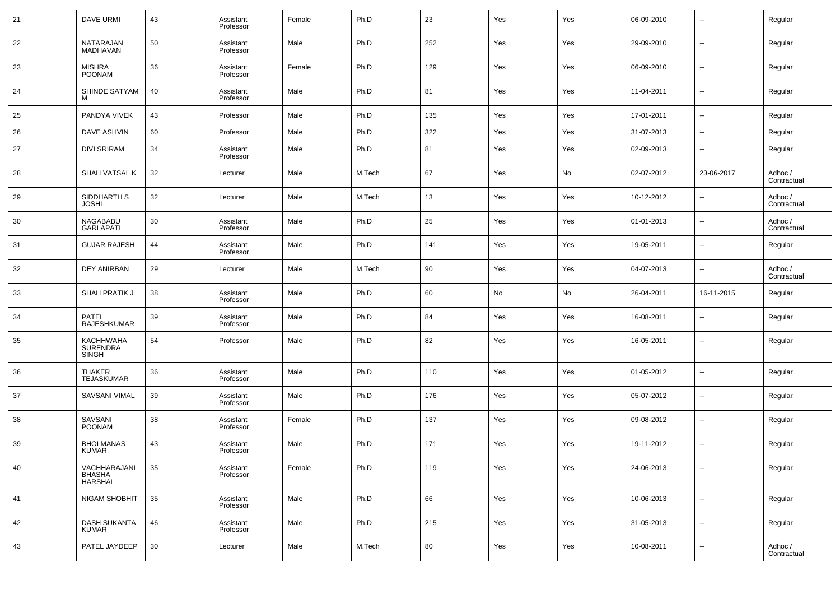| 21 | <b>DAVE URMI</b>                                    | 43 | Assistant<br>Professor | Female | Ph.D   | 23  | Yes | Yes | 06-09-2010 | $\overline{\phantom{a}}$ | Regular                |
|----|-----------------------------------------------------|----|------------------------|--------|--------|-----|-----|-----|------------|--------------------------|------------------------|
| 22 | NATARAJAN<br>MADHAVAN                               | 50 | Assistant<br>Professor | Male   | Ph.D   | 252 | Yes | Yes | 29-09-2010 | $\overline{\phantom{a}}$ | Regular                |
| 23 | <b>MISHRA</b><br><b>POONAM</b>                      | 36 | Assistant<br>Professor | Female | Ph.D   | 129 | Yes | Yes | 06-09-2010 | $\overline{\phantom{a}}$ | Regular                |
| 24 | SHINDE SATYAM                                       | 40 | Assistant<br>Professor | Male   | Ph.D   | 81  | Yes | Yes | 11-04-2011 | $\overline{\phantom{a}}$ | Regular                |
| 25 | PANDYA VIVEK                                        | 43 | Professor              | Male   | Ph.D   | 135 | Yes | Yes | 17-01-2011 | $\overline{\phantom{a}}$ | Regular                |
| 26 | <b>DAVE ASHVIN</b>                                  | 60 | Professor              | Male   | Ph.D   | 322 | Yes | Yes | 31-07-2013 | $\overline{\phantom{a}}$ | Regular                |
| 27 | <b>DIVI SRIRAM</b>                                  | 34 | Assistant<br>Professor | Male   | Ph.D   | 81  | Yes | Yes | 02-09-2013 | $\sim$                   | Regular                |
| 28 | SHAH VATSAL K                                       | 32 | Lecturer               | Male   | M.Tech | 67  | Yes | No  | 02-07-2012 | 23-06-2017               | Adhoc /<br>Contractual |
| 29 | SIDDHARTH S<br><b>JOSHI</b>                         | 32 | Lecturer               | Male   | M.Tech | 13  | Yes | Yes | 10-12-2012 | $\overline{\phantom{a}}$ | Adhoc /<br>Contractual |
| 30 | <b>NAGABABU</b><br><b>GARLAPATI</b>                 | 30 | Assistant<br>Professor | Male   | Ph.D   | 25  | Yes | Yes | 01-01-2013 | $\overline{\phantom{a}}$ | Adhoc /<br>Contractual |
| 31 | <b>GUJAR RAJESH</b>                                 | 44 | Assistant<br>Professor | Male   | Ph.D   | 141 | Yes | Yes | 19-05-2011 | $\overline{\phantom{a}}$ | Regular                |
| 32 | DEY ANIRBAN                                         | 29 | Lecturer               | Male   | M.Tech | 90  | Yes | Yes | 04-07-2013 | $\overline{\phantom{a}}$ | Adhoc /<br>Contractual |
| 33 | SHAH PRATIK J                                       | 38 | Assistant<br>Professor | Male   | Ph.D   | 60  | No  | No  | 26-04-2011 | 16-11-2015               | Regular                |
| 34 | PATEL<br>RAJESHKUMAR                                | 39 | Assistant<br>Professor | Male   | Ph.D   | 84  | Yes | Yes | 16-08-2011 | $\overline{\phantom{a}}$ | Regular                |
| 35 | <b>KACHHWAHA</b><br><b>SURENDRA</b><br><b>SINGH</b> | 54 | Professor              | Male   | Ph.D   | 82  | Yes | Yes | 16-05-2011 | $\overline{\phantom{a}}$ | Regular                |
| 36 | <b>THAKER</b><br><b>TEJASKUMAR</b>                  | 36 | Assistant<br>Professor | Male   | Ph.D   | 110 | Yes | Yes | 01-05-2012 | $\overline{\phantom{a}}$ | Regular                |
| 37 | SAVSANI VIMAL                                       | 39 | Assistant<br>Professor | Male   | Ph.D   | 176 | Yes | Yes | 05-07-2012 | $\overline{\phantom{a}}$ | Regular                |
| 38 | SAVSANI<br><b>POONAM</b>                            | 38 | Assistant<br>Professor | Female | Ph.D   | 137 | Yes | Yes | 09-08-2012 | $\overline{\phantom{a}}$ | Regular                |
| 39 | <b>BHOI MANAS</b><br>KUMAR                          | 43 | Assistant<br>Professor | Male   | Ph.D   | 171 | Yes | Yes | 19-11-2012 | $\sim$                   | Regular                |
| 40 | VACHHARAJANI<br>BHASHA<br>HARSHAL                   | 35 | Assistant<br>Professor | Female | Ph.D   | 119 | Yes | Yes | 24-06-2013 | $\overline{\phantom{a}}$ | Regular                |
| 41 | NIGAM SHOBHIT                                       | 35 | Assistant<br>Professor | Male   | Ph.D   | 66  | Yes | Yes | 10-06-2013 | $\sim$                   | Regular                |
| 42 | <b>DASH SUKANTA</b><br><b>KUMAR</b>                 | 46 | Assistant<br>Professor | Male   | Ph.D   | 215 | Yes | Yes | 31-05-2013 | $\sim$                   | Regular                |
| 43 | PATEL JAYDEEP                                       | 30 | Lecturer               | Male   | M.Tech | 80  | Yes | Yes | 10-08-2011 | $\overline{\phantom{a}}$ | Adhoc /<br>Contractual |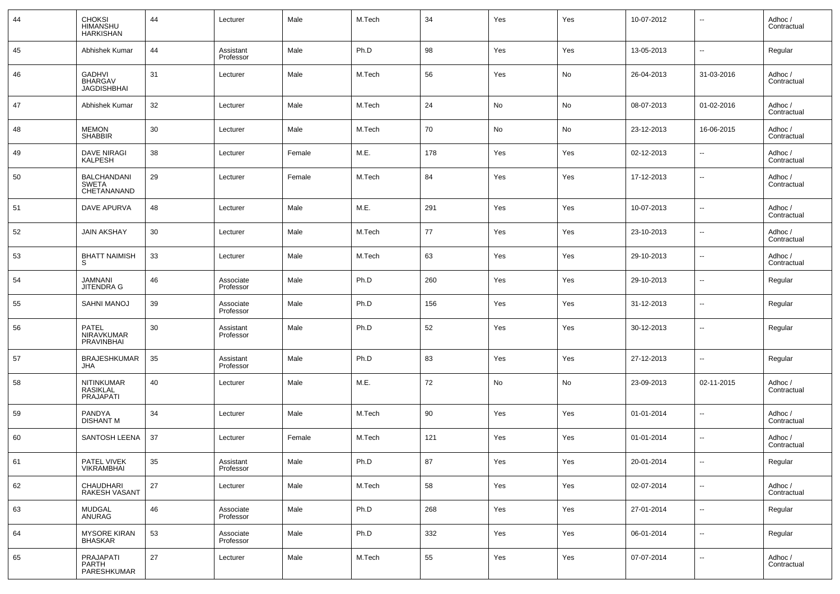| 44 | CHOKSI<br>HIMANSHU<br><b>HARKISHAN</b>                | 44 | Lecturer               | Male   | M.Tech | 34  | Yes | Yes | 10-07-2012 | $\overline{\phantom{a}}$ | Adhoc /<br>Contractual |
|----|-------------------------------------------------------|----|------------------------|--------|--------|-----|-----|-----|------------|--------------------------|------------------------|
| 45 | Abhishek Kumar                                        | 44 | Assistant<br>Professor | Male   | Ph.D   | 98  | Yes | Yes | 13-05-2013 | $\overline{\phantom{a}}$ | Regular                |
| 46 | <b>GADHVI</b><br><b>BHARGAV</b><br><b>JAGDISHBHAI</b> | 31 | Lecturer               | Male   | M.Tech | 56  | Yes | No  | 26-04-2013 | 31-03-2016               | Adhoc /<br>Contractual |
| 47 | Abhishek Kumar                                        | 32 | Lecturer               | Male   | M.Tech | 24  | No  | No  | 08-07-2013 | 01-02-2016               | Adhoc /<br>Contractual |
| 48 | <b>MEMON</b><br><b>SHABBIR</b>                        | 30 | Lecturer               | Male   | M.Tech | 70  | No  | No  | 23-12-2013 | 16-06-2015               | Adhoc /<br>Contractual |
| 49 | <b>DAVE NIRAGI</b><br><b>KALPESH</b>                  | 38 | Lecturer               | Female | M.E.   | 178 | Yes | Yes | 02-12-2013 | $\overline{\phantom{a}}$ | Adhoc /<br>Contractual |
| 50 | <b>BALCHANDANI</b><br><b>SWETA</b><br>CHETANANAND     | 29 | Lecturer               | Female | M.Tech | 84  | Yes | Yes | 17-12-2013 | $\overline{\phantom{a}}$ | Adhoc /<br>Contractual |
| 51 | <b>DAVE APURVA</b>                                    | 48 | Lecturer               | Male   | M.E.   | 291 | Yes | Yes | 10-07-2013 | $\overline{\phantom{a}}$ | Adhoc /<br>Contractual |
| 52 | <b>JAIN AKSHAY</b>                                    | 30 | Lecturer               | Male   | M.Tech | 77  | Yes | Yes | 23-10-2013 | $\overline{\phantom{a}}$ | Adhoc /<br>Contractual |
| 53 | <b>BHATT NAIMISH</b><br>S                             | 33 | Lecturer               | Male   | M.Tech | 63  | Yes | Yes | 29-10-2013 | $\overline{\phantom{a}}$ | Adhoc /<br>Contractual |
| 54 | JAMNANI<br><b>JITENDRA G</b>                          | 46 | Associate<br>Professor | Male   | Ph.D   | 260 | Yes | Yes | 29-10-2013 | $\overline{\phantom{a}}$ | Regular                |
| 55 | SAHNI MANOJ                                           | 39 | Associate<br>Professor | Male   | Ph.D   | 156 | Yes | Yes | 31-12-2013 | $\overline{\phantom{a}}$ | Regular                |
| 56 | <b>PATEL</b><br>NIRAVKUMAR<br>PRAVINBHAI              | 30 | Assistant<br>Professor | Male   | Ph.D   | 52  | Yes | Yes | 30-12-2013 | $\overline{\phantom{a}}$ | Regular                |
| 57 | <b>BRAJESHKUMAR</b><br>JHA                            | 35 | Assistant<br>Professor | Male   | Ph.D   | 83  | Yes | Yes | 27-12-2013 | $\overline{\phantom{a}}$ | Regular                |
| 58 | NITINKUMAR<br>RASIKLAL<br>PRAJAPATI                   | 40 | Lecturer               | Male   | M.E.   | 72  | No  | No  | 23-09-2013 | 02-11-2015               | Adhoc /<br>Contractual |
| 59 | PANDYA<br><b>DISHANT M</b>                            | 34 | Lecturer               | Male   | M.Tech | 90  | Yes | Yes | 01-01-2014 | $\overline{\phantom{a}}$ | Adhoc /<br>Contractual |
| 60 | SANTOSH LEENA                                         | 37 | Lecturer               | Female | M.Tech | 121 | Yes | Yes | 01-01-2014 | $\overline{\phantom{a}}$ | Adhoc /<br>Contractual |
| 61 | PATEL VIVEK<br><b>VIKRAMBHAI</b>                      | 35 | Assistant<br>Professor | Male   | Ph.D   | 87  | Yes | Yes | 20-01-2014 | $\overline{\phantom{a}}$ | Regular                |
| 62 | CHAUDHARI<br>RAKESH VASANT                            | 27 | Lecturer               | Male   | M.Tech | 58  | Yes | Yes | 02-07-2014 | $\overline{\phantom{a}}$ | Adhoc /<br>Contractual |
| 63 | <b>MUDGAL</b><br>ANURAG                               | 46 | Associate<br>Professor | Male   | Ph.D   | 268 | Yes | Yes | 27-01-2014 | $\sim$                   | Regular                |
| 64 | <b>MYSORE KIRAN</b><br><b>BHASKAR</b>                 | 53 | Associate<br>Professor | Male   | Ph.D   | 332 | Yes | Yes | 06-01-2014 | $\overline{\phantom{a}}$ | Regular                |
| 65 | PRAJAPATI<br>PARTH<br>PARESHKUMAR                     | 27 | Lecturer               | Male   | M.Tech | 55  | Yes | Yes | 07-07-2014 | $\sim$                   | Adhoc /<br>Contractual |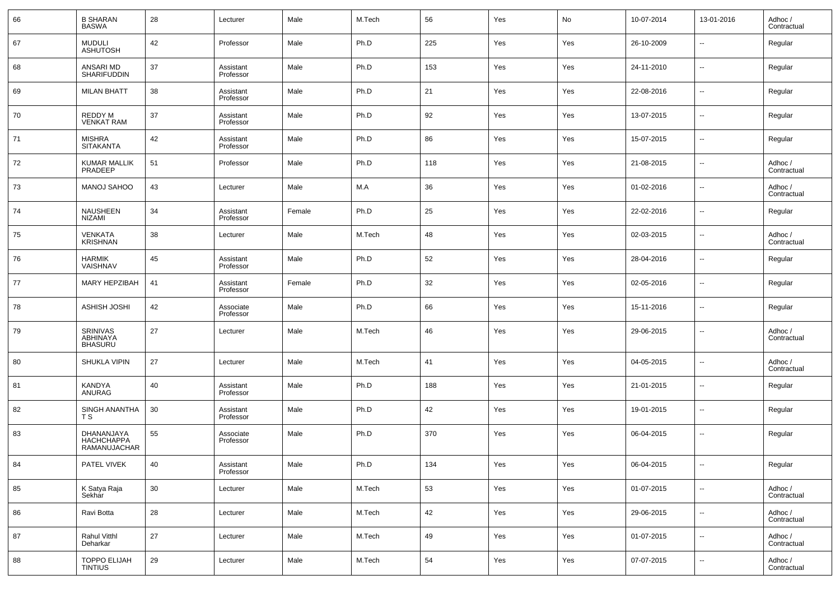| 66 | <b>B SHARAN</b><br><b>BASWA</b>               | 28 | Lecturer               | Male   | M.Tech | 56  | Yes | No  | 10-07-2014 | 13-01-2016               | Adhoc /<br>Contractual |
|----|-----------------------------------------------|----|------------------------|--------|--------|-----|-----|-----|------------|--------------------------|------------------------|
| 67 | <b>MUDULI</b><br><b>ASHUTOSH</b>              | 42 | Professor              | Male   | Ph.D   | 225 | Yes | Yes | 26-10-2009 | --                       | Regular                |
| 68 | ANSARI MD<br>SHARIFUDDIN                      | 37 | Assistant<br>Professor | Male   | Ph.D   | 153 | Yes | Yes | 24-11-2010 | $\overline{\phantom{a}}$ | Regular                |
| 69 | <b>MILAN BHATT</b>                            | 38 | Assistant<br>Professor | Male   | Ph.D   | 21  | Yes | Yes | 22-08-2016 | $\overline{\phantom{a}}$ | Regular                |
| 70 | REDDY M<br><b>VENKAT RAM</b>                  | 37 | Assistant<br>Professor | Male   | Ph.D   | 92  | Yes | Yes | 13-07-2015 | $\overline{\phantom{a}}$ | Regular                |
| 71 | <b>MISHRA</b><br><b>SITAKANTA</b>             | 42 | Assistant<br>Professor | Male   | Ph.D   | 86  | Yes | Yes | 15-07-2015 | $\overline{\phantom{a}}$ | Regular                |
| 72 | <b>KUMAR MALLIK</b><br>PRADEEP                | 51 | Professor              | Male   | Ph.D   | 118 | Yes | Yes | 21-08-2015 | $\overline{\phantom{a}}$ | Adhoc /<br>Contractual |
| 73 | MANOJ SAHOO                                   | 43 | Lecturer               | Male   | M.A    | 36  | Yes | Yes | 01-02-2016 | $\overline{\phantom{a}}$ | Adhoc /<br>Contractual |
| 74 | <b>NAUSHEEN</b><br><b>NIZAMI</b>              | 34 | Assistant<br>Professor | Female | Ph.D   | 25  | Yes | Yes | 22-02-2016 | $\overline{\phantom{a}}$ | Regular                |
| 75 | <b>VENKATA</b><br><b>KRISHNAN</b>             | 38 | Lecturer               | Male   | M.Tech | 48  | Yes | Yes | 02-03-2015 | $\overline{\phantom{a}}$ | Adhoc /<br>Contractual |
| 76 | <b>HARMIK</b><br>VAISHNAV                     | 45 | Assistant<br>Professor | Male   | Ph.D   | 52  | Yes | Yes | 28-04-2016 | $\overline{\phantom{a}}$ | Regular                |
| 77 | MARY HEPZIBAH                                 | 41 | Assistant<br>Professor | Female | Ph.D   | 32  | Yes | Yes | 02-05-2016 | $\overline{\phantom{a}}$ | Regular                |
| 78 | ASHISH JOSHI                                  | 42 | Associate<br>Professor | Male   | Ph.D   | 66  | Yes | Yes | 15-11-2016 | $\sim$                   | Regular                |
| 79 | <b>SRINIVAS</b><br>ABHINAYA<br><b>BHASURU</b> | 27 | Lecturer               | Male   | M.Tech | 46  | Yes | Yes | 29-06-2015 | $\overline{\phantom{a}}$ | Adhoc /<br>Contractual |
| 80 | <b>SHUKLA VIPIN</b>                           | 27 | Lecturer               | Male   | M.Tech | 41  | Yes | Yes | 04-05-2015 | $\overline{\phantom{a}}$ | Adhoc /<br>Contractual |
| 81 | KANDYA<br>ANURAG                              | 40 | Assistant<br>Professor | Male   | Ph.D   | 188 | Yes | Yes | 21-01-2015 | $\overline{\phantom{a}}$ | Regular                |
| 82 | SINGH ANANTHA<br>ТS                           | 30 | Assistant<br>Professor | Male   | Ph.D   | 42  | Yes | Yes | 19-01-2015 | $\overline{\phantom{a}}$ | Regular                |
| 83 | DHANANJAYA<br>HACHCHAPPA<br>RAMANUJACHAR      | 55 | Associate<br>Professor | Male   | Ph.D   | 370 | Yes | Yes | 06-04-2015 | $\overline{\phantom{a}}$ | Regular                |
| 84 | PATEL VIVEK                                   | 40 | Assistant<br>Professor | Male   | Ph.D   | 134 | Yes | Yes | 06-04-2015 | $\overline{\phantom{a}}$ | Regular                |
| 85 | K Satya Raja<br>Sekhar                        | 30 | Lecturer               | Male   | M.Tech | 53  | Yes | Yes | 01-07-2015 | $\overline{\phantom{a}}$ | Adhoc /<br>Contractual |
| 86 | Ravi Botta                                    | 28 | Lecturer               | Male   | M.Tech | 42  | Yes | Yes | 29-06-2015 | ۰.                       | Adhoc /<br>Contractual |
| 87 | Rahul Vitthl<br>Deharkar                      | 27 | Lecturer               | Male   | M.Tech | 49  | Yes | Yes | 01-07-2015 | $\overline{\phantom{a}}$ | Adhoc /<br>Contractual |
| 88 | TOPPO ELIJAH<br>TINTIUS                       | 29 | Lecturer               | Male   | M.Tech | 54  | Yes | Yes | 07-07-2015 | ۰.                       | Adhoc /<br>Contractual |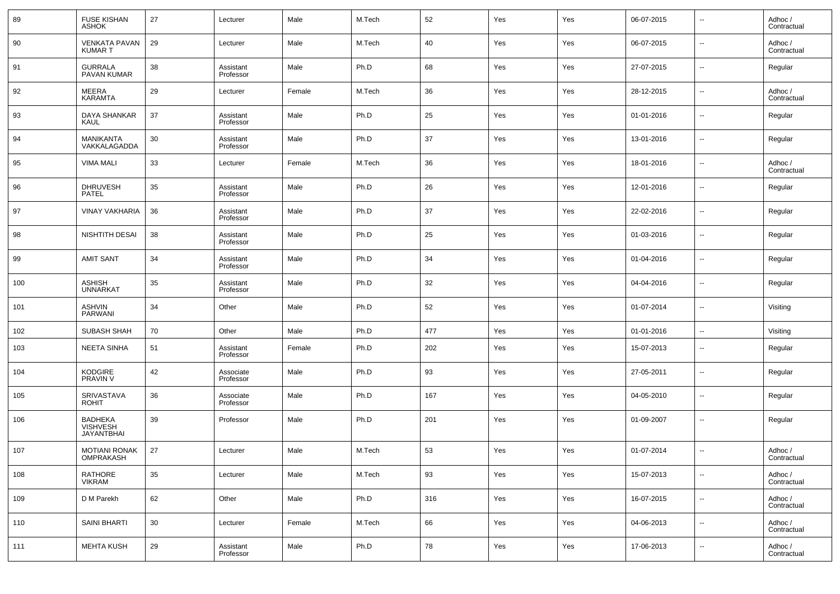| 89  | <b>FUSE KISHAN</b><br><b>ASHOK</b>                     | 27 | Lecturer               | Male   | M.Tech | 52  | Yes | Yes | 06-07-2015 | $\overline{\phantom{a}}$ | Adhoc /<br>Contractual |
|-----|--------------------------------------------------------|----|------------------------|--------|--------|-----|-----|-----|------------|--------------------------|------------------------|
| 90  | <b>VENKATA PAVAN</b><br>KUMAR T                        | 29 | Lecturer               | Male   | M.Tech | 40  | Yes | Yes | 06-07-2015 | $\overline{\phantom{a}}$ | Adhoc /<br>Contractual |
| 91  | <b>GURRALA</b><br>PAVAN KUMAR                          | 38 | Assistant<br>Professor | Male   | Ph.D   | 68  | Yes | Yes | 27-07-2015 | $\sim$                   | Regular                |
| 92  | MEERA<br><b>KARAMTA</b>                                | 29 | Lecturer               | Female | M.Tech | 36  | Yes | Yes | 28-12-2015 | $\overline{\phantom{a}}$ | Adhoc /<br>Contractual |
| 93  | DAYA SHANKAR<br><b>KAUL</b>                            | 37 | Assistant<br>Professor | Male   | Ph.D   | 25  | Yes | Yes | 01-01-2016 | $\sim$                   | Regular                |
| 94  | MANIKANTA<br>VAKKALAGADDA                              | 30 | Assistant<br>Professor | Male   | Ph.D   | 37  | Yes | Yes | 13-01-2016 | $\sim$                   | Regular                |
| 95  | <b>VIMA MALI</b>                                       | 33 | Lecturer               | Female | M.Tech | 36  | Yes | Yes | 18-01-2016 | $\overline{\phantom{a}}$ | Adhoc /<br>Contractual |
| 96  | <b>DHRUVESH</b><br><b>PATEL</b>                        | 35 | Assistant<br>Professor | Male   | Ph.D   | 26  | Yes | Yes | 12-01-2016 | $\sim$                   | Regular                |
| 97  | <b>VINAY VAKHARIA</b>                                  | 36 | Assistant<br>Professor | Male   | Ph.D   | 37  | Yes | Yes | 22-02-2016 | $\overline{\phantom{a}}$ | Regular                |
| 98  | NISHTITH DESAI                                         | 38 | Assistant<br>Professor | Male   | Ph.D   | 25  | Yes | Yes | 01-03-2016 | $\sim$                   | Regular                |
| 99  | <b>AMIT SANT</b>                                       | 34 | Assistant<br>Professor | Male   | Ph.D   | 34  | Yes | Yes | 01-04-2016 | $\overline{\phantom{a}}$ | Regular                |
| 100 | ASHISH<br><b>UNNARKAT</b>                              | 35 | Assistant<br>Professor | Male   | Ph.D   | 32  | Yes | Yes | 04-04-2016 | $\sim$                   | Regular                |
| 101 | ASHVIN<br><b>PARWANI</b>                               | 34 | Other                  | Male   | Ph.D   | 52  | Yes | Yes | 01-07-2014 | $\overline{\phantom{a}}$ | Visiting               |
| 102 | SUBASH SHAH                                            | 70 | Other                  | Male   | Ph.D   | 477 | Yes | Yes | 01-01-2016 | $\sim$                   | Visiting               |
| 103 | <b>NEETA SINHA</b>                                     | 51 | Assistant<br>Professor | Female | Ph.D   | 202 | Yes | Yes | 15-07-2013 | $\overline{\phantom{a}}$ | Regular                |
| 104 | <b>KODGIRE</b><br><b>PRAVIN V</b>                      | 42 | Associate<br>Professor | Male   | Ph.D   | 93  | Yes | Yes | 27-05-2011 | $\overline{\phantom{a}}$ | Regular                |
| 105 | SRIVASTAVA<br><b>ROHIT</b>                             | 36 | Associate<br>Professor | Male   | Ph.D   | 167 | Yes | Yes | 04-05-2010 | $\overline{\phantom{a}}$ | Regular                |
| 106 | <b>BADHEKA</b><br><b>VISHVESH</b><br><b>JAYANTBHAI</b> | 39 | Professor              | Male   | Ph.D   | 201 | Yes | Yes | 01-09-2007 | $\overline{\phantom{a}}$ | Regular                |
| 107 | MOTIANI RONAK<br>OMPRAKASH                             | 27 | Lecturer               | Male   | M.Tech | 53  | Yes | Yes | 01-07-2014 | $\overline{\phantom{a}}$ | Adhoc /<br>Contractual |
| 108 | RATHORE<br><b>VIKRAM</b>                               | 35 | Lecturer               | Male   | M.Tech | 93  | Yes | Yes | 15-07-2013 | $\overline{\phantom{a}}$ | Adhoc /<br>Contractual |
| 109 | D M Parekh                                             | 62 | Other                  | Male   | Ph.D   | 316 | Yes | Yes | 16-07-2015 | $\sim$                   | Adhoc /<br>Contractual |
| 110 | SAINI BHARTI                                           | 30 | Lecturer               | Female | M.Tech | 66  | Yes | Yes | 04-06-2013 | $\sim$                   | Adhoc /<br>Contractual |
| 111 | <b>MEHTA KUSH</b>                                      | 29 | Assistant<br>Professor | Male   | Ph.D   | 78  | Yes | Yes | 17-06-2013 | $\overline{\phantom{a}}$ | Adhoc /<br>Contractual |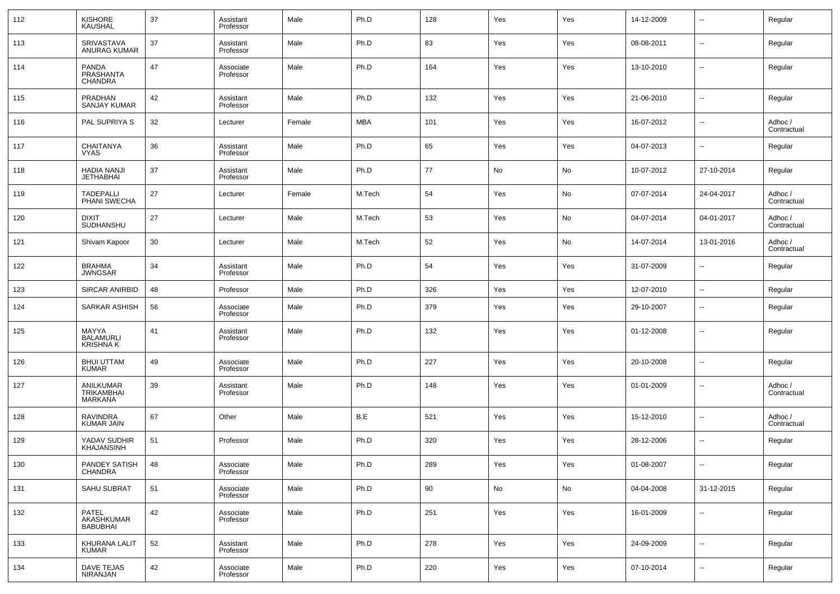| 112 | KISHORE<br>KAUSHAL                     | 37 | Assistant<br>Professor | Male   | Ph.D   | 128 | Yes | Yes | 14-12-2009 | --                       | Regular                |
|-----|----------------------------------------|----|------------------------|--------|--------|-----|-----|-----|------------|--------------------------|------------------------|
| 113 | SRIVASTAVA<br>ANURAG KUMAR             | 37 | Assistant<br>Professor | Male   | Ph.D   | 83  | Yes | Yes | 08-08-2011 | $\overline{\phantom{a}}$ | Regular                |
| 114 | <b>PANDA</b><br>PRASHANTA<br>CHANDRA   | 47 | Associate<br>Professor | Male   | Ph.D   | 164 | Yes | Yes | 13-10-2010 | --                       | Regular                |
| 115 | PRADHAN<br><b>SANJAY KUMAR</b>         | 42 | Assistant<br>Professor | Male   | Ph.D   | 132 | Yes | Yes | 21-06-2010 | $\overline{a}$           | Regular                |
| 116 | PAL SUPRIYA S                          | 32 | Lecturer               | Female | MBA    | 101 | Yes | Yes | 16-07-2012 | ш,                       | Adhoc /<br>Contractual |
| 117 | <b>CHAITANYA</b><br><b>VYAS</b>        | 36 | Assistant<br>Professor | Male   | Ph.D   | 65  | Yes | Yes | 04-07-2013 | --                       | Regular                |
| 118 | <b>HADIA NANJI</b><br><b>JETHABHAI</b> | 37 | Assistant<br>Professor | Male   | Ph.D   | 77  | No  | No  | 10-07-2012 | 27-10-2014               | Regular                |
| 119 | <b>TADEPALLI</b><br>PHANI SWECHA       | 27 | Lecturer               | Female | M.Tech | 54  | Yes | No  | 07-07-2014 | 24-04-2017               | Adhoc /<br>Contractual |
| 120 | <b>DIXIT</b><br>SUDHANSHU              | 27 | Lecturer               | Male   | M.Tech | 53  | Yes | No  | 04-07-2014 | 04-01-2017               | Adhoc /<br>Contractual |
| 121 | Shivam Kapoor                          | 30 | Lecturer               | Male   | M.Tech | 52  | Yes | No  | 14-07-2014 | 13-01-2016               | Adhoc /<br>Contractual |
| 122 | <b>BRAHMA</b><br><b>JWNGSAR</b>        | 34 | Assistant<br>Professor | Male   | Ph.D   | 54  | Yes | Yes | 31-07-2009 | --                       | Regular                |
| 123 | <b>SIRCAR ANIRBID</b>                  | 48 | Professor              | Male   | Ph.D   | 326 | Yes | Yes | 12-07-2010 | $\overline{\phantom{a}}$ | Regular                |
| 124 | SARKAR ASHISH                          | 56 | Associate<br>Professor | Male   | Ph.D   | 379 | Yes | Yes | 29-10-2007 | --                       | Regular                |
| 125 | MAYYA<br><b>BALAMURLI</b><br>KRISHNA K | 41 | Assistant<br>Professor | Male   | Ph.D   | 132 | Yes | Yes | 01-12-2008 | --                       | Regular                |
| 126 | <b>BHUI UTTAM</b><br><b>KUMAR</b>      | 49 | Associate<br>Professor | Male   | Ph.D   | 227 | Yes | Yes | 20-10-2008 | --                       | Regular                |
| 127 | ANILKUMAR<br>TRIKAMBHAI<br>MARKANA     | 39 | Assistant<br>Professor | Male   | Ph.D   | 148 | Yes | Yes | 01-01-2009 | --                       | Adhoc /<br>Contractual |
| 128 | <b>RAVINDRA</b><br><b>KUMAR JAIN</b>   | 67 | Other                  | Male   | B.E    | 521 | Yes | Yes | 15-12-2010 | --                       | Adhoc /<br>Contractual |
| 129 | YADAV SUDHIR<br><b>KHAJANSINH</b>      | 51 | Professor              | Male   | Ph.D   | 320 | Yes | Yes | 28-12-2006 | $\overline{a}$           | Regular                |
| 130 | PANDEY SATISH<br>CHANDRA               | 48 | Associate<br>Professor | Male   | Ph.D   | 289 | Yes | Yes | 01-08-2007 | $\overline{\phantom{a}}$ | Regular                |
| 131 | SAHU SUBRAT                            | 51 | Associate<br>Professor | Male   | Ph.D   | 90  | No  | No  | 04-04-2008 | 31-12-2015               | Regular                |
| 132 | PATEL<br>AKASHKUMAR<br><b>BABUBHAI</b> | 42 | Associate<br>Professor | Male   | Ph.D   | 251 | Yes | Yes | 16-01-2009 | $\overline{\phantom{a}}$ | Regular                |
| 133 | KHURANA LALIT<br>KUMAR                 | 52 | Assistant<br>Professor | Male   | Ph.D   | 278 | Yes | Yes | 24-09-2009 | н.                       | Regular                |
| 134 | DAVE TEJAS<br>NIRANJAN                 | 42 | Associate<br>Professor | Male   | Ph.D   | 220 | Yes | Yes | 07-10-2014 | $\overline{\phantom{a}}$ | Regular                |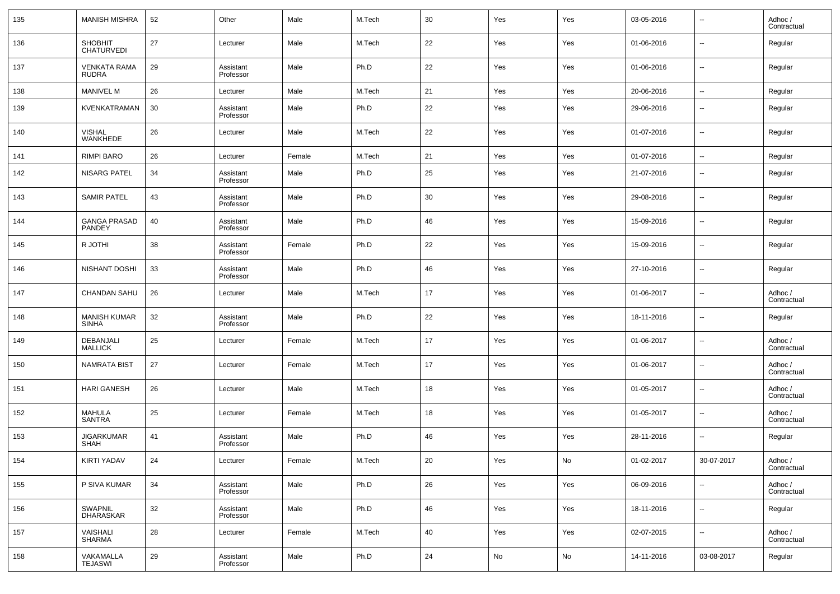| 135 | <b>MANISH MISHRA</b>             | 52 | Other                  | Male   | M.Tech | 30 | Yes | Yes | 03-05-2016 | --                       | Adhoc /<br>Contractual |
|-----|----------------------------------|----|------------------------|--------|--------|----|-----|-----|------------|--------------------------|------------------------|
| 136 | SHOBHIT<br><b>CHATURVEDI</b>     | 27 | Lecturer               | Male   | M.Tech | 22 | Yes | Yes | 01-06-2016 | $\overline{\phantom{a}}$ | Regular                |
| 137 | <b>VENKATA RAMA</b><br>RUDRA     | 29 | Assistant<br>Professor | Male   | Ph.D   | 22 | Yes | Yes | 01-06-2016 | $\overline{\phantom{a}}$ | Regular                |
| 138 | <b>MANIVEL M</b>                 | 26 | Lecturer               | Male   | M.Tech | 21 | Yes | Yes | 20-06-2016 | --                       | Regular                |
| 139 | KVENKATRAMAN                     | 30 | Assistant<br>Professor | Male   | Ph.D   | 22 | Yes | Yes | 29-06-2016 | $\overline{\phantom{a}}$ | Regular                |
| 140 | <b>VISHAL</b><br><b>WANKHEDE</b> | 26 | Lecturer               | Male   | M.Tech | 22 | Yes | Yes | 01-07-2016 | $\overline{\phantom{a}}$ | Regular                |
| 141 | <b>RIMPI BARO</b>                | 26 | Lecturer               | Female | M.Tech | 21 | Yes | Yes | 01-07-2016 | $\overline{\phantom{a}}$ | Regular                |
| 142 | <b>NISARG PATEL</b>              | 34 | Assistant<br>Professor | Male   | Ph.D   | 25 | Yes | Yes | 21-07-2016 | $\overline{\phantom{a}}$ | Regular                |
| 143 | <b>SAMIR PATEL</b>               | 43 | Assistant<br>Professor | Male   | Ph.D   | 30 | Yes | Yes | 29-08-2016 | $\overline{\phantom{a}}$ | Regular                |
| 144 | <b>GANGA PRASAD</b><br>PANDEY    | 40 | Assistant<br>Professor | Male   | Ph.D   | 46 | Yes | Yes | 15-09-2016 | $\overline{\phantom{a}}$ | Regular                |
| 145 | R JOTHI                          | 38 | Assistant<br>Professor | Female | Ph.D   | 22 | Yes | Yes | 15-09-2016 | $\overline{\phantom{a}}$ | Regular                |
| 146 | NISHANT DOSHI                    | 33 | Assistant<br>Professor | Male   | Ph.D   | 46 | Yes | Yes | 27-10-2016 | $\overline{\phantom{a}}$ | Regular                |
| 147 | <b>CHANDAN SAHU</b>              | 26 | Lecturer               | Male   | M.Tech | 17 | Yes | Yes | 01-06-2017 | --                       | Adhoc /<br>Contractual |
| 148 | MANISH KUMAR<br>SINHA            | 32 | Assistant<br>Professor | Male   | Ph.D   | 22 | Yes | Yes | 18-11-2016 | $\overline{\phantom{a}}$ | Regular                |
| 149 | DEBANJALI<br>MALLICK             | 25 | Lecturer               | Female | M.Tech | 17 | Yes | Yes | 01-06-2017 | $\overline{\phantom{a}}$ | Adhoc /<br>Contractual |
| 150 | <b>NAMRATA BIST</b>              | 27 | Lecturer               | Female | M.Tech | 17 | Yes | Yes | 01-06-2017 | $\overline{\phantom{a}}$ | Adhoc /<br>Contractual |
| 151 | <b>HARI GANESH</b>               | 26 | Lecturer               | Male   | M.Tech | 18 | Yes | Yes | 01-05-2017 | $\overline{\phantom{a}}$ | Adhoc /<br>Contractual |
| 152 | MAHULA<br>SANTRA                 | 25 | Lecturer               | Female | M.Tech | 18 | Yes | Yes | 01-05-2017 | $\overline{\phantom{a}}$ | Adhoc /<br>Contractual |
| 153 | <b>JIGARKUMAR</b><br><b>SHAH</b> | 41 | Assistant<br>Professor | Male   | Ph.D   | 46 | Yes | Yes | 28-11-2016 | $\overline{\phantom{a}}$ | Regular                |
| 154 | <b>KIRTI YADAV</b>               | 24 | Lecturer               | Female | M.Tech | 20 | Yes | No  | 01-02-2017 | 30-07-2017               | Adhoc /<br>Contractual |
| 155 | P SIVA KUMAR                     | 34 | Assistant<br>Professor | Male   | Ph.D   | 26 | Yes | Yes | 06-09-2016 | ۰.                       | Adhoc /<br>Contractual |
| 156 | SWAPNIL<br>DHARASKAR             | 32 | Assistant<br>Professor | Male   | Ph.D   | 46 | Yes | Yes | 18-11-2016 | $\overline{\phantom{a}}$ | Regular                |
| 157 | VAISHALI<br>SHARMA               | 28 | Lecturer               | Female | M.Tech | 40 | Yes | Yes | 02-07-2015 | $\overline{\phantom{a}}$ | Adhoc /<br>Contractual |
| 158 | VAKAMALLA<br>TEJASWI             | 29 | Assistant<br>Professor | Male   | Ph.D   | 24 | No  | No  | 14-11-2016 | 03-08-2017               | Regular                |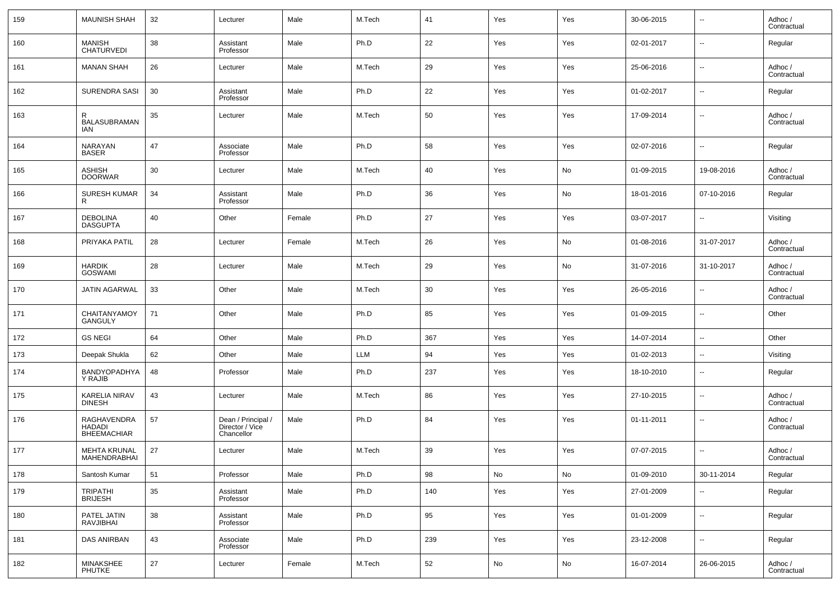| 159 | <b>MAUNISH SHAH</b>                                | 32 | Lecturer                                            | Male   | M.Tech | 41  | Yes | Yes | 30-06-2015 | $\overline{\phantom{a}}$ | Adhoc /<br>Contractual |
|-----|----------------------------------------------------|----|-----------------------------------------------------|--------|--------|-----|-----|-----|------------|--------------------------|------------------------|
| 160 | <b>MANISH</b><br><b>CHATURVEDI</b>                 | 38 | Assistant<br>Professor                              | Male   | Ph.D   | 22  | Yes | Yes | 02-01-2017 | $\overline{\phantom{a}}$ | Regular                |
| 161 | <b>MANAN SHAH</b>                                  | 26 | Lecturer                                            | Male   | M.Tech | 29  | Yes | Yes | 25-06-2016 | $\overline{\phantom{a}}$ | Adhoc /<br>Contractual |
| 162 | <b>SURENDRA SASI</b>                               | 30 | Assistant<br>Professor                              | Male   | Ph.D   | 22  | Yes | Yes | 01-02-2017 | $\overline{\phantom{a}}$ | Regular                |
| 163 | R<br><b>BALASUBRAMAN</b><br>IAN                    | 35 | Lecturer                                            | Male   | M.Tech | 50  | Yes | Yes | 17-09-2014 | $\overline{\phantom{a}}$ | Adhoc /<br>Contractual |
| 164 | NARAYAN<br><b>BASER</b>                            | 47 | Associate<br>Professor                              | Male   | Ph.D   | 58  | Yes | Yes | 02-07-2016 | $\ddotsc$                | Regular                |
| 165 | <b>ASHISH</b><br><b>DOORWAR</b>                    | 30 | Lecturer                                            | Male   | M.Tech | 40  | Yes | No  | 01-09-2015 | 19-08-2016               | Adhoc /<br>Contractual |
| 166 | <b>SURESH KUMAR</b><br>R                           | 34 | Assistant<br>Professor                              | Male   | Ph.D   | 36  | Yes | No  | 18-01-2016 | 07-10-2016               | Regular                |
| 167 | <b>DEBOLINA</b><br><b>DASGUPTA</b>                 | 40 | Other                                               | Female | Ph.D   | 27  | Yes | Yes | 03-07-2017 | $\overline{\phantom{a}}$ | Visiting               |
| 168 | PRIYAKA PATIL                                      | 28 | Lecturer                                            | Female | M.Tech | 26  | Yes | No  | 01-08-2016 | 31-07-2017               | Adhoc /<br>Contractual |
| 169 | <b>HARDIK</b><br><b>GOSWAMI</b>                    | 28 | Lecturer                                            | Male   | M.Tech | 29  | Yes | No  | 31-07-2016 | 31-10-2017               | Adhoc /<br>Contractual |
| 170 | JATIN AGARWAL                                      | 33 | Other                                               | Male   | M.Tech | 30  | Yes | Yes | 26-05-2016 | ۰.                       | Adhoc /<br>Contractual |
| 171 | CHAITANYAMOY<br>GANGULY                            | 71 | Other                                               | Male   | Ph.D   | 85  | Yes | Yes | 01-09-2015 | $\overline{\phantom{a}}$ | Other                  |
| 172 | <b>GS NEGI</b>                                     | 64 | Other                                               | Male   | Ph.D   | 367 | Yes | Yes | 14-07-2014 | $\overline{\phantom{a}}$ | Other                  |
| 173 | Deepak Shukla                                      | 62 | Other                                               | Male   | LLM    | 94  | Yes | Yes | 01-02-2013 | ۰.                       | Visiting               |
| 174 | BANDYOPADHYA<br>Y RAJIB                            | 48 | Professor                                           | Male   | Ph.D   | 237 | Yes | Yes | 18-10-2010 | $\overline{\phantom{a}}$ | Regular                |
| 175 | KARELIA NIRAV<br><b>DINESH</b>                     | 43 | Lecturer                                            | Male   | M.Tech | 86  | Yes | Yes | 27-10-2015 | $\overline{\phantom{a}}$ | Adhoc /<br>Contractual |
| 176 | RAGHAVENDRA<br><b>HADADI</b><br><b>BHEEMACHIAR</b> | 57 | Dean / Principal /<br>Director / Vice<br>Chancellor | Male   | Ph.D   | 84  | Yes | Yes | 01-11-2011 | $\overline{\phantom{a}}$ | Adhoc /<br>Contractual |
| 177 | MEHTA KRUNAL<br>MAHENDRABHAI                       | 27 | Lecturer                                            | Male   | M.Tech | 39  | Yes | Yes | 07-07-2015 | $\sim$                   | Adhoc /<br>Contractual |
| 178 | Santosh Kumar                                      | 51 | Professor                                           | Male   | Ph.D   | 98  | No  | No  | 01-09-2010 | 30-11-2014               | Regular                |
| 179 | <b>TRIPATHI</b><br><b>BRIJESH</b>                  | 35 | Assistant<br>Professor                              | Male   | Ph.D   | 140 | Yes | Yes | 27-01-2009 | $\overline{\phantom{a}}$ | Regular                |
| 180 | PATEL JATIN<br>RAVJIBHAI                           | 38 | Assistant<br>Professor                              | Male   | Ph.D   | 95  | Yes | Yes | 01-01-2009 | ۰.                       | Regular                |
| 181 | <b>DAS ANIRBAN</b>                                 | 43 | Associate<br>Professor                              | Male   | Ph.D   | 239 | Yes | Yes | 23-12-2008 | ۰.                       | Regular                |
| 182 | MINAKSHEE<br><b>PHUTKE</b>                         | 27 | Lecturer                                            | Female | M.Tech | 52  | No  | No  | 16-07-2014 | 26-06-2015               | Adhoc /<br>Contractual |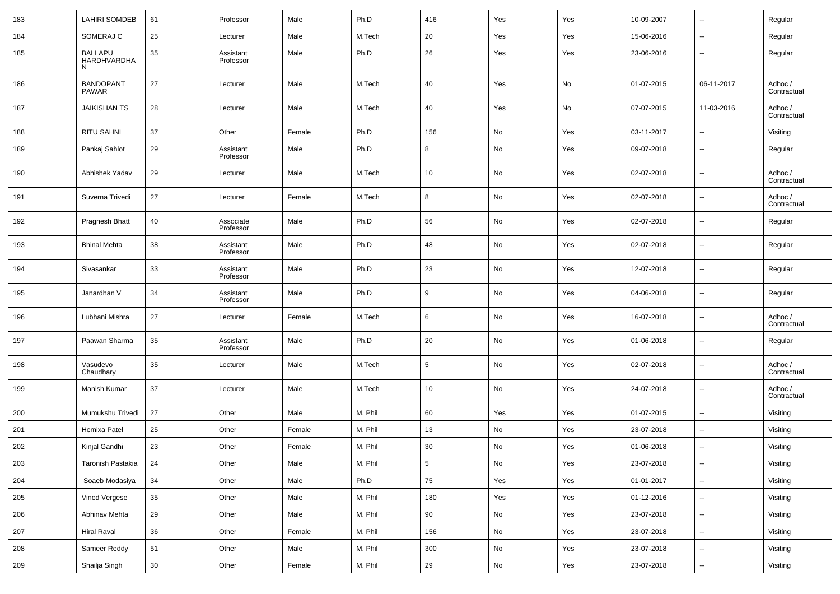| 183 | <b>LAHIRI SOMDEB</b>             | 61 | Professor              | Male   | Ph.D    | 416             | Yes        | Yes | 10-09-2007 | --                       | Regular                |
|-----|----------------------------------|----|------------------------|--------|---------|-----------------|------------|-----|------------|--------------------------|------------------------|
| 184 | SOMERAJ C                        | 25 | Lecturer               | Male   | M.Tech  | 20              | Yes        | Yes | 15-06-2016 | $\overline{\phantom{a}}$ | Regular                |
| 185 | BALLAPU<br>HARDHVARDHA<br>N      | 35 | Assistant<br>Professor | Male   | Ph.D    | 26              | Yes        | Yes | 23-06-2016 | $\overline{\phantom{a}}$ | Regular                |
| 186 | <b>BANDOPANT</b><br><b>PAWAR</b> | 27 | Lecturer               | Male   | M.Tech  | 40              | Yes        | No  | 01-07-2015 | 06-11-2017               | Adhoc /<br>Contractual |
| 187 | <b>JAIKISHAN TS</b>              | 28 | Lecturer               | Male   | M.Tech  | 40              | Yes        | No  | 07-07-2015 | 11-03-2016               | Adhoc /<br>Contractual |
| 188 | <b>RITU SAHNI</b>                | 37 | Other                  | Female | Ph.D    | 156             | No         | Yes | 03-11-2017 | $\overline{\phantom{a}}$ | Visiting               |
| 189 | Pankaj Sahlot                    | 29 | Assistant<br>Professor | Male   | Ph.D    | 8               | No         | Yes | 09-07-2018 | --                       | Regular                |
| 190 | Abhishek Yadav                   | 29 | Lecturer               | Male   | M.Tech  | 10              | No         | Yes | 02-07-2018 | --                       | Adhoc /<br>Contractual |
| 191 | Suverna Trivedi                  | 27 | Lecturer               | Female | M.Tech  | 8               | No         | Yes | 02-07-2018 | --                       | Adhoc /<br>Contractual |
| 192 | Pragnesh Bhatt                   | 40 | Associate<br>Professor | Male   | Ph.D    | 56              | No         | Yes | 02-07-2018 | $\overline{\phantom{a}}$ | Regular                |
| 193 | <b>Bhinal Mehta</b>              | 38 | Assistant<br>Professor | Male   | Ph.D    | 48              | No         | Yes | 02-07-2018 | --                       | Regular                |
| 194 | Sivasankar                       | 33 | Assistant<br>Professor | Male   | Ph.D    | 23              | No         | Yes | 12-07-2018 | --                       | Regular                |
| 195 | Janardhan V                      | 34 | Assistant<br>Professor | Male   | Ph.D    | 9               | No         | Yes | 04-06-2018 | --                       | Regular                |
| 196 | Lubhani Mishra                   | 27 | Lecturer               | Female | M.Tech  | 6               | No         | Yes | 16-07-2018 | $\overline{\phantom{a}}$ | Adhoc /<br>Contractual |
| 197 | Paawan Sharma                    | 35 | Assistant<br>Professor | Male   | Ph.D    | 20              | No         | Yes | 01-06-2018 | $\overline{\phantom{a}}$ | Regular                |
| 198 | Vasudevo<br>Chaudhary            | 35 | Lecturer               | Male   | M.Tech  | 5               | No         | Yes | 02-07-2018 | --                       | Adhoc /<br>Contractual |
| 199 | Manish Kumar                     | 37 | Lecturer               | Male   | M.Tech  | 10              | No         | Yes | 24-07-2018 | $\overline{\phantom{a}}$ | Adhoc /<br>Contractual |
| 200 | Mumukshu Trivedi                 | 27 | Other                  | Male   | M. Phil | 60              | Yes        | Yes | 01-07-2015 | --                       | Visiting               |
| 201 | Hemixa Patel                     | 25 | Other                  | Female | M. Phil | 13              | No         | Yes | 23-07-2018 | $\overline{\phantom{a}}$ | Visiting               |
| 202 | Kinjal Gandhi                    | 23 | Other                  | Female | M. Phil | 30              | No         | Yes | 01-06-2018 | --                       | Visiting               |
| 203 | Taronish Pastakia                | 24 | Other                  | Male   | M. Phil | $5\phantom{.0}$ | No         | Yes | 23-07-2018 | ۰.                       | Visiting               |
| 204 | Soaeb Modasiya                   | 34 | Other                  | Male   | Ph.D    | 75              | Yes        | Yes | 01-01-2017 | $\overline{\phantom{a}}$ | Visiting               |
| 205 | Vinod Vergese                    | 35 | Other                  | Male   | M. Phil | 180             | Yes        | Yes | 01-12-2016 | $\overline{\phantom{a}}$ | Visiting               |
| 206 | Abhinav Mehta                    | 29 | Other                  | Male   | M. Phil | 90              | No         | Yes | 23-07-2018 | ۰.                       | Visiting               |
| 207 | Hiral Raval                      | 36 | Other                  | Female | M. Phil | 156             | No         | Yes | 23-07-2018 | $\overline{\phantom{a}}$ | Visiting               |
| 208 | Sameer Reddy                     | 51 | Other                  | Male   | M. Phil | $300\,$         | No         | Yes | 23-07-2018 | ۰.                       | Visiting               |
| 209 | Shailja Singh                    | 30 | Other                  | Female | M. Phil | $29\,$          | ${\sf No}$ | Yes | 23-07-2018 | $\overline{\phantom{a}}$ | Visiting               |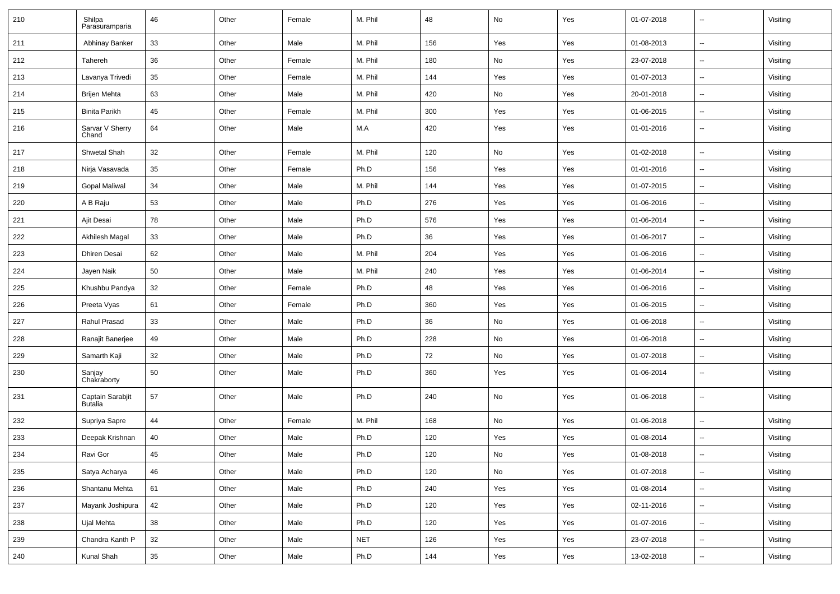| 210 | Shilpa<br>Parasuramparia           | 46     | Other | Female | M. Phil    | 48  | No  | Yes | 01-07-2018 | $\overline{\phantom{a}}$ | Visiting |
|-----|------------------------------------|--------|-------|--------|------------|-----|-----|-----|------------|--------------------------|----------|
| 211 | Abhinay Banker                     | 33     | Other | Male   | M. Phil    | 156 | Yes | Yes | 01-08-2013 | $\sim$                   | Visiting |
| 212 | Tahereh                            | 36     | Other | Female | M. Phil    | 180 | No  | Yes | 23-07-2018 | $\overline{\phantom{a}}$ | Visiting |
| 213 | Lavanya Trivedi                    | 35     | Other | Female | M. Phil    | 144 | Yes | Yes | 01-07-2013 | $\sim$                   | Visiting |
| 214 | <b>Brijen Mehta</b>                | 63     | Other | Male   | M. Phil    | 420 | No  | Yes | 20-01-2018 | $\sim$                   | Visiting |
| 215 | <b>Binita Parikh</b>               | 45     | Other | Female | M. Phil    | 300 | Yes | Yes | 01-06-2015 | $\overline{\phantom{a}}$ | Visiting |
| 216 | Sarvar V Sherry<br>Chand           | 64     | Other | Male   | M.A        | 420 | Yes | Yes | 01-01-2016 | $\sim$                   | Visiting |
| 217 | Shwetal Shah                       | 32     | Other | Female | M. Phil    | 120 | No  | Yes | 01-02-2018 | $\overline{\phantom{a}}$ | Visiting |
| 218 | Nirja Vasavada                     | 35     | Other | Female | Ph.D       | 156 | Yes | Yes | 01-01-2016 | $\overline{\phantom{a}}$ | Visiting |
| 219 | Gopal Maliwal                      | 34     | Other | Male   | M. Phil    | 144 | Yes | Yes | 01-07-2015 | $\overline{\phantom{a}}$ | Visiting |
| 220 | A B Raju                           | 53     | Other | Male   | Ph.D       | 276 | Yes | Yes | 01-06-2016 | $\sim$                   | Visiting |
| 221 | Ajit Desai                         | 78     | Other | Male   | Ph.D       | 576 | Yes | Yes | 01-06-2014 | $\overline{\phantom{a}}$ | Visiting |
| 222 | Akhilesh Magal                     | 33     | Other | Male   | Ph.D       | 36  | Yes | Yes | 01-06-2017 | $\overline{\phantom{a}}$ | Visiting |
| 223 | Dhiren Desai                       | 62     | Other | Male   | M. Phil    | 204 | Yes | Yes | 01-06-2016 | $\overline{\phantom{a}}$ | Visiting |
| 224 | Jayen Naik                         | 50     | Other | Male   | M. Phil    | 240 | Yes | Yes | 01-06-2014 | $\overline{\phantom{a}}$ | Visiting |
| 225 | Khushbu Pandya                     | 32     | Other | Female | Ph.D       | 48  | Yes | Yes | 01-06-2016 | $\overline{\phantom{a}}$ | Visiting |
| 226 | Preeta Vyas                        | 61     | Other | Female | Ph.D       | 360 | Yes | Yes | 01-06-2015 | $\sim$                   | Visiting |
| 227 | Rahul Prasad                       | 33     | Other | Male   | Ph.D       | 36  | No  | Yes | 01-06-2018 | $\sim$                   | Visiting |
| 228 | Ranajit Banerjee                   | 49     | Other | Male   | Ph.D       | 228 | No  | Yes | 01-06-2018 | $\overline{\phantom{a}}$ | Visiting |
| 229 | Samarth Kaji                       | 32     | Other | Male   | Ph.D       | 72  | No  | Yes | 01-07-2018 | $\ddotsc$                | Visiting |
| 230 | Sanjay<br>Chakraborty              | 50     | Other | Male   | Ph.D       | 360 | Yes | Yes | 01-06-2014 | $\overline{\phantom{a}}$ | Visiting |
| 231 | Captain Sarabjit<br><b>Butalia</b> | 57     | Other | Male   | Ph.D       | 240 | No  | Yes | 01-06-2018 | $\overline{\phantom{a}}$ | Visiting |
| 232 | Supriya Sapre                      | 44     | Other | Female | M. Phil    | 168 | No  | Yes | 01-06-2018 | $\overline{\phantom{a}}$ | Visiting |
| 233 | Deepak Krishnan                    | 40     | Other | Male   | Ph.D       | 120 | Yes | Yes | 01-08-2014 | $\overline{\phantom{a}}$ | Visiting |
| 234 | Ravi Gor                           | 45     | Other | Male   | Ph.D       | 120 | No  | Yes | 01-08-2018 | $\sim$                   | Visiting |
| 235 | Satya Acharya                      | 46     | Other | Male   | Ph.D       | 120 | No  | Yes | 01-07-2018 | $\overline{\phantom{a}}$ | Visiting |
| 236 | Shantanu Mehta                     | 61     | Other | Male   | Ph.D       | 240 | Yes | Yes | 01-08-2014 | $\overline{\phantom{a}}$ | Visiting |
| 237 | Mayank Joshipura                   | 42     | Other | Male   | Ph.D       | 120 | Yes | Yes | 02-11-2016 | $\ldots$                 | Visiting |
| 238 | Ujal Mehta                         | 38     | Other | Male   | Ph.D       | 120 | Yes | Yes | 01-07-2016 | $\overline{\phantom{a}}$ | Visiting |
| 239 | Chandra Kanth P                    | 32     | Other | Male   | <b>NET</b> | 126 | Yes | Yes | 23-07-2018 | $\overline{\phantom{a}}$ | Visiting |
| 240 | Kunal Shah                         | $35\,$ | Other | Male   | Ph.D       | 144 | Yes | Yes | 13-02-2018 | $\overline{\phantom{a}}$ | Visiting |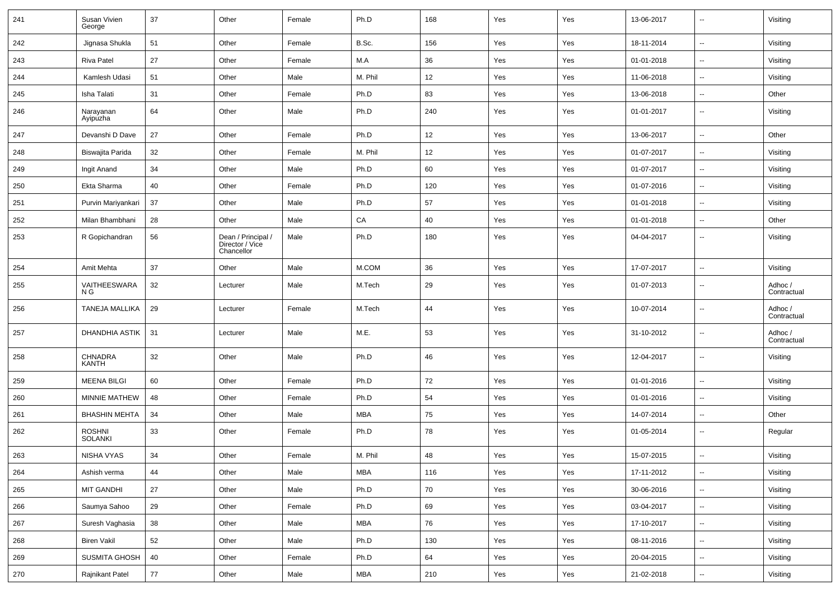| 241 | Susan Vivien<br>George          | 37 | Other                                               | Female | Ph.D       | 168        | Yes | Yes | 13-06-2017 | $\overline{\phantom{a}}$ | Visiting               |
|-----|---------------------------------|----|-----------------------------------------------------|--------|------------|------------|-----|-----|------------|--------------------------|------------------------|
| 242 | Jignasa Shukla                  | 51 | Other                                               | Female | B.Sc.      | 156        | Yes | Yes | 18-11-2014 | $\overline{\phantom{a}}$ | Visiting               |
| 243 | Riva Patel                      | 27 | Other                                               | Female | M.A        | 36         | Yes | Yes | 01-01-2018 | $\sim$                   | Visiting               |
| 244 | Kamlesh Udasi                   | 51 | Other                                               | Male   | M. Phil    | 12         | Yes | Yes | 11-06-2018 | $\overline{\phantom{a}}$ | Visiting               |
| 245 | Isha Talati                     | 31 | Other                                               | Female | Ph.D       | 83         | Yes | Yes | 13-06-2018 | $\overline{\phantom{a}}$ | Other                  |
| 246 | Narayanan<br>Ayipuzha           | 64 | Other                                               | Male   | Ph.D       | 240        | Yes | Yes | 01-01-2017 | $\overline{\phantom{a}}$ | Visiting               |
| 247 | Devanshi D Dave                 | 27 | Other                                               | Female | Ph.D       | 12         | Yes | Yes | 13-06-2017 | $\overline{\phantom{a}}$ | Other                  |
| 248 | Biswajita Parida                | 32 | Other                                               | Female | M. Phil    | 12         | Yes | Yes | 01-07-2017 | $\ddotsc$                | Visiting               |
| 249 | Ingit Anand                     | 34 | Other                                               | Male   | Ph.D       | 60         | Yes | Yes | 01-07-2017 | $\overline{\phantom{a}}$ | Visiting               |
| 250 | Ekta Sharma                     | 40 | Other                                               | Female | Ph.D       | 120        | Yes | Yes | 01-07-2016 | $\overline{\phantom{a}}$ | Visiting               |
| 251 | Purvin Mariyankari              | 37 | Other                                               | Male   | Ph.D       | 57         | Yes | Yes | 01-01-2018 | $\overline{\phantom{a}}$ | Visiting               |
| 252 | Milan Bhambhani                 | 28 | Other                                               | Male   | CA         | 40         | Yes | Yes | 01-01-2018 | $\overline{\phantom{a}}$ | Other                  |
| 253 | R Gopichandran                  | 56 | Dean / Principal /<br>Director / Vice<br>Chancellor | Male   | Ph.D       | 180        | Yes | Yes | 04-04-2017 | $\sim$                   | Visiting               |
| 254 | Amit Mehta                      | 37 | Other                                               | Male   | M.COM      | 36         | Yes | Yes | 17-07-2017 | $\overline{\phantom{a}}$ | Visiting               |
| 255 | VAITHEESWARA<br>N G             | 32 | Lecturer                                            | Male   | M.Tech     | 29         | Yes | Yes | 01-07-2013 | $\overline{\phantom{a}}$ | Adhoc /<br>Contractual |
| 256 | <b>TANEJA MALLIKA</b>           | 29 | Lecturer                                            | Female | M.Tech     | 44         | Yes | Yes | 10-07-2014 | $\overline{\phantom{a}}$ | Adhoc /<br>Contractual |
| 257 | DHANDHIA ASTIK                  | 31 | Lecturer                                            | Male   | M.E.       | 53         | Yes | Yes | 31-10-2012 | $\overline{\phantom{a}}$ | Adhoc /<br>Contractual |
| 258 | CHNADRA<br><b>KANTH</b>         | 32 | Other                                               | Male   | Ph.D       | 46         | Yes | Yes | 12-04-2017 | $\overline{\phantom{a}}$ | Visiting               |
| 259 | <b>MEENA BILGI</b>              | 60 | Other                                               | Female | Ph.D       | 72         | Yes | Yes | 01-01-2016 | $\overline{\phantom{a}}$ | Visiting               |
| 260 | MINNIE MATHEW                   | 48 | Other                                               | Female | Ph.D       | 54         | Yes | Yes | 01-01-2016 | $\overline{\phantom{a}}$ | Visiting               |
| 261 | <b>BHASHIN MEHTA</b>            | 34 | Other                                               | Male   | <b>MBA</b> | 75         | Yes | Yes | 14-07-2014 | $\overline{\phantom{a}}$ | Other                  |
| 262 | <b>ROSHNI</b><br><b>SOLANKI</b> | 33 | Other                                               | Female | Ph.D       | 78         | Yes | Yes | 01-05-2014 | $\overline{\phantom{a}}$ | Regular                |
| 263 | NISHA VYAS                      | 34 | Other                                               | Female | M. Phil    | 48         | Yes | Yes | 15-07-2015 | $\overline{\phantom{a}}$ | Visiting               |
| 264 | Ashish verma                    | 44 | Other                                               | Male   | MBA        | 116        | Yes | Yes | 17-11-2012 | $\overline{\phantom{a}}$ | Visiting               |
| 265 | <b>MIT GANDHI</b>               | 27 | Other                                               | Male   | Ph.D       | ${\bf 70}$ | Yes | Yes | 30-06-2016 | $\overline{\phantom{a}}$ | Visiting               |
| 266 | Saumya Sahoo                    | 29 | Other                                               | Female | Ph.D       | 69         | Yes | Yes | 03-04-2017 | $\overline{\phantom{a}}$ | Visiting               |
| 267 | Suresh Vaghasia                 | 38 | Other                                               | Male   | <b>MBA</b> | 76         | Yes | Yes | 17-10-2017 | $\overline{\phantom{a}}$ | Visiting               |
| 268 | <b>Biren Vakil</b>              | 52 | Other                                               | Male   | Ph.D       | 130        | Yes | Yes | 08-11-2016 | $\overline{\phantom{a}}$ | Visiting               |
| 269 | SUSMITA GHOSH                   | 40 | Other                                               | Female | Ph.D       | 64         | Yes | Yes | 20-04-2015 | $\overline{\phantom{a}}$ | Visiting               |
| 270 | Rajnikant Patel                 | 77 | Other                                               | Male   | MBA        | 210        | Yes | Yes | 21-02-2018 | $\overline{\phantom{a}}$ | Visiting               |